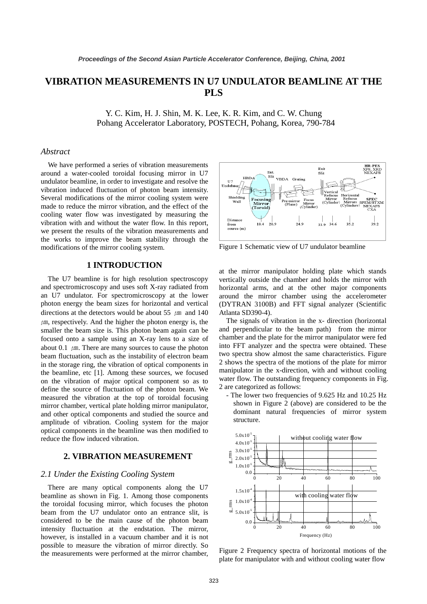# **VIBRATION MEASUREMENTS IN U7 UNDULATOR BEAMLINE AT THE PLS**

Y. C. Kim, H. J. Shin, M. K. Lee, K. R. Kim, and C. W. Chung Pohang Accelerator Laboratory, POSTECH, Pohang, Korea, 790-784

#### *Abstract*

We have performed a series of vibration measurements around a water-cooled toroidal focusing mirror in U7 undulator beamline, in order to investigate and resolve the vibration induced fluctuation of photon beam intensity. Several modifications of the mirror cooling system were made to reduce the mirror vibration, and the effect of the cooling water flow was investigated by measuring the vibration with and without the water flow. In this report, we present the results of the vibration measurements and the works to improve the beam stability through the modifications of the mirror cooling system.

## **1 INTRODUCTION**

The U7 beamline is for high resolution spectroscopy and spectromicroscopy and uses soft X-ray radiated from an U7 undulator. For spectromicroscopy at the lower photon energy the beam sizes for horizontal and vertical directions at the detectors would be about 55  $\mu$ m and 140  $\mu$ m, respectively. And the higher the photon energy is, the smaller the beam size is. This photon beam again can be focused onto a sample using an X-ray lens to a size of about 0.1  $\mu$ m. There are many sources to cause the photon beam fluctuation, such as the instability of electron beam in the storage ring, the vibration of optical components in the beamline, etc [1]. Among these sources, we focused on the vibration of major optical component so as to define the source of fluctuation of the photon beam. We measured the vibration at the top of toroidal focusing mirror chamber, vertical plate holding mirror manipulator, and other optical components and studied the source and amplitude of vibration. Cooling system for the major optical components in the beamline was then modified to reduce the flow induced vibration.

### **2. VIBRATION MEASUREMENT**

#### *2.1 Under the Existing Cooling System*

There are many optical components along the U7 beamline as shown in Fig. 1. Among those components the toroidal focusing mirror, which focuses the photon beam from the U7 undulator onto an entrance slit, is considered to be the main cause of the photon beam intensity fluctuation at the endstation. The mirror, however, is installed in a vacuum chamber and it is not possible to measure the vibration of mirror directly. So the measurements were performed at the mirror chamber,



Figure 1 Schematic view of U7 undulator beamline

at the mirror manipulator holding plate which stands vertically outside the chamber and holds the mirror with horizontal arms, and at the other major components around the mirror chamber using the accelerometer (DYTRAN 3100B) and FFT signal analyzer (Scientific Atlanta SD390-4).

The signals of vibration in the x- direction (horizontal and perpendicular to the beam path) from the mirror chamber and the plate for the mirror manipulator were fed into FFT analyzer and the spectra were obtained. These two spectra show almost the same characteristics. Figure 2 shows the spectra of the motions of the plate for mirror manipulator in the x-direction, with and without cooling water flow. The outstanding frequency components in Fig. 2 are categorized as follows:

- The lower two frequencies of 9.625 Hz and 10.25 Hz shown in Figure 2 (above) are considered to be the dominant natural frequencies of mirror system structure.



Figure 2 Frequency spectra of horizontal motions of the plate for manipulator with and without cooling water flow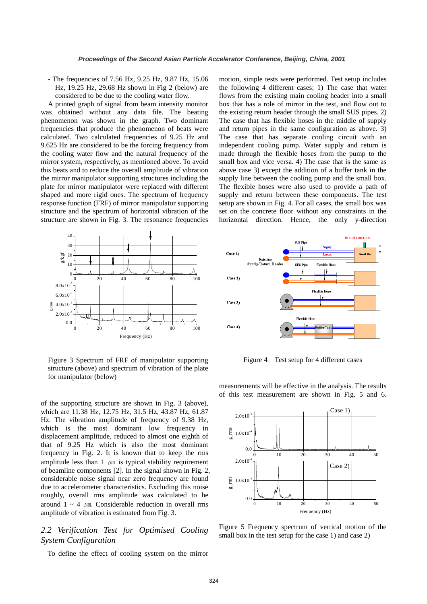- The frequencies of 7.56 Hz, 9.25 Hz, 9.87 Hz, 15.06 Hz, 19.25 Hz, 29.68 Hz shown in Fig 2 (below) are considered to be due to the cooling water flow.

A printed graph of signal from beam intensity monitor was obtained without any data file. The beating phenomenon was shown in the graph. Two dominant frequencies that produce the phenomenon of beats were calculated. Two calculated frequencies of 9.25 Hz and 9.625 Hz are considered to be the forcing frequency from the cooling water flow and the natural frequency of the mirror system, respectively, as mentioned above. To avoid this beats and to reduce the overall amplitude of vibration the mirror manipulator supporting structures including the plate for mirror manipulator were replaced with different shaped and more rigid ones. The spectrum of frequency response function (FRF) of mirror manipulator supporting structure and the spectrum of horizontal vibration of the structure are shown in Fig. 3. The resonance frequencies



Figure 3 Spectrum of FRF of manipulator supporting structure (above) and spectrum of vibration of the plate for manipulator (below)

of the supporting structure are shown in Fig. 3 (above), which are 11.38 Hz, 12.75 Hz, 31.5 Hz, 43.87 Hz, 61.87 Hz. The vibration amplitude of frequency of 9.38 Hz, which is the most dominant low frequency in displacement amplitude, reduced to almost one eighth of that of 9.25 Hz which is also the most dominant frequency in Fig. 2. It is known that to keep the rms amplitude less than  $1 \mu m$  is typical stability requirement of beamline components [2]. In the signal shown in Fig. 2, considerable noise signal near zero frequency are found due to accelerometer characteristics. Excluding this noise roughly, overall rms amplitude was calculated to be around  $1 \sim 4$   $\mu$ m. Considerable reduction in overall rms amplitude of vibration is estimated from Fig. 3.

# *2.2 Verification Test for Optimised Cooling System Configuration*

To define the effect of cooling system on the mirror

motion, simple tests were performed. Test setup includes the following 4 different cases; 1) The case that water flows from the existing main cooling header into a small box that has a role of mirror in the test, and flow out to the existing return header through the small SUS pipes. 2) The case that has flexible hoses in the middle of supply and return pipes in the same configuration as above. 3) The case that has separate cooling circuit with an independent cooling pump. Water supply and return is made through the flexible hoses from the pump to the small box and vice versa. 4) The case that is the same as above case 3) except the addition of a buffer tank in the supply line between the cooling pump and the small box. The flexible hoses were also used to provide a path of supply and return between these components. The test setup are shown in Fig. 4. For all cases, the small box was set on the concrete floor without any constraints in the horizontal direction. Hence, the only y-direction



Figure 4 Test setup for 4 different cases

measurements will be effective in the analysis. The results of this test measurement are shown in Fig. 5 and 6.



Figure 5 Frequency spectrum of vertical motion of the small box in the test setup for the case 1) and case 2)